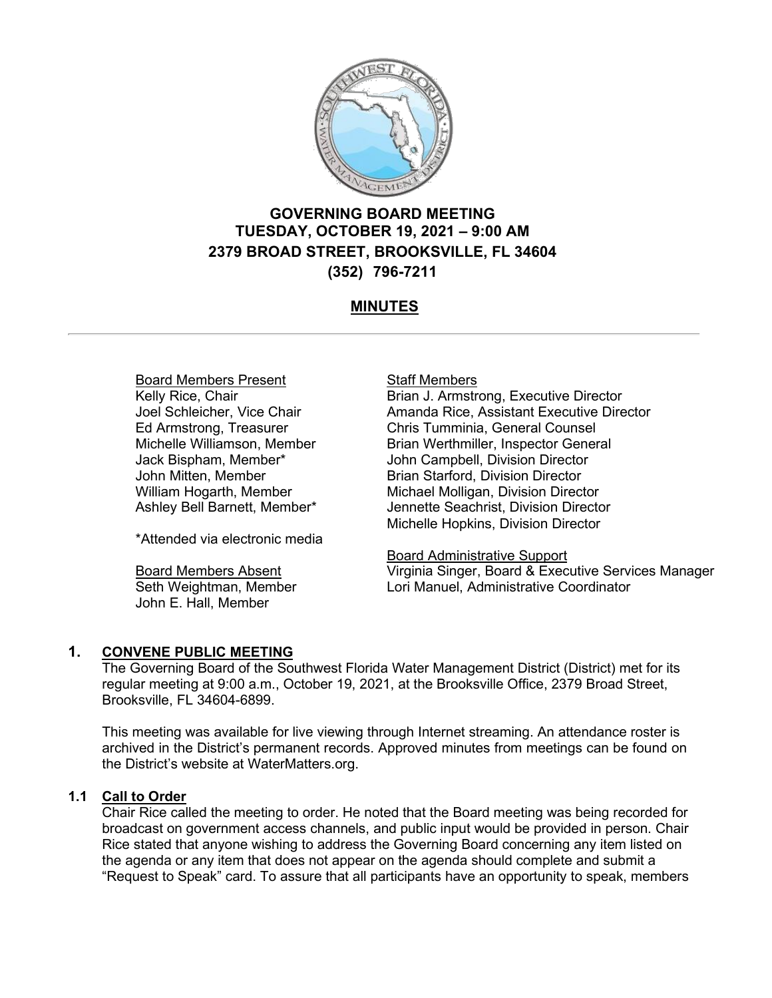

# **GOVERNING BOARD MEETING TUESDAY, OCTOBER 19, 2021 – 9:00 AM 2379 BROAD STREET, BROOKSVILLE, FL 34604 (352) 796-7211**

# **MINUTES**

# Board Members Present

Kelly Rice, Chair Joel Schleicher, Vice Chair Ed Armstrong, Treasurer Michelle Williamson, Member Jack Bispham, Member\* John Mitten, Member William Hogarth, Member Ashley Bell Barnett, Member\*

\*Attended via electronic media

Board Members Absent Seth Weightman, Member John E. Hall, Member

### **Staff Members**

Brian J. Armstrong, Executive Director Amanda Rice, Assistant Executive Director Chris Tumminia, General Counsel Brian Werthmiller, Inspector General John Campbell, Division Director Brian Starford, Division Director Michael Molligan, Division Director Jennette Seachrist, Division Director Michelle Hopkins, Division Director

Board Administrative Support Virginia Singer, Board & Executive Services Manager Lori Manuel, Administrative Coordinator

# **1. CONVENE PUBLIC MEETING**

The Governing Board of the Southwest Florida Water Management District (District) met for its regular meeting at 9:00 a.m., October 19, 2021, at the Brooksville Office, 2379 Broad Street, Brooksville, FL 34604-6899.

This meeting was available for live viewing through Internet streaming. An attendance roster is archived in the District's permanent records. Approved minutes from meetings can be found on the District's website at WaterMatters.org.

# **1.1 Call to Order**

Chair Rice called the meeting to order. He noted that the Board meeting was being recorded for broadcast on government access channels, and public input would be provided in person. Chair Rice stated that anyone wishing to address the Governing Board concerning any item listed on the agenda or any item that does not appear on the agenda should complete and submit a "Request to Speak" card. To assure that all participants have an opportunity to speak, members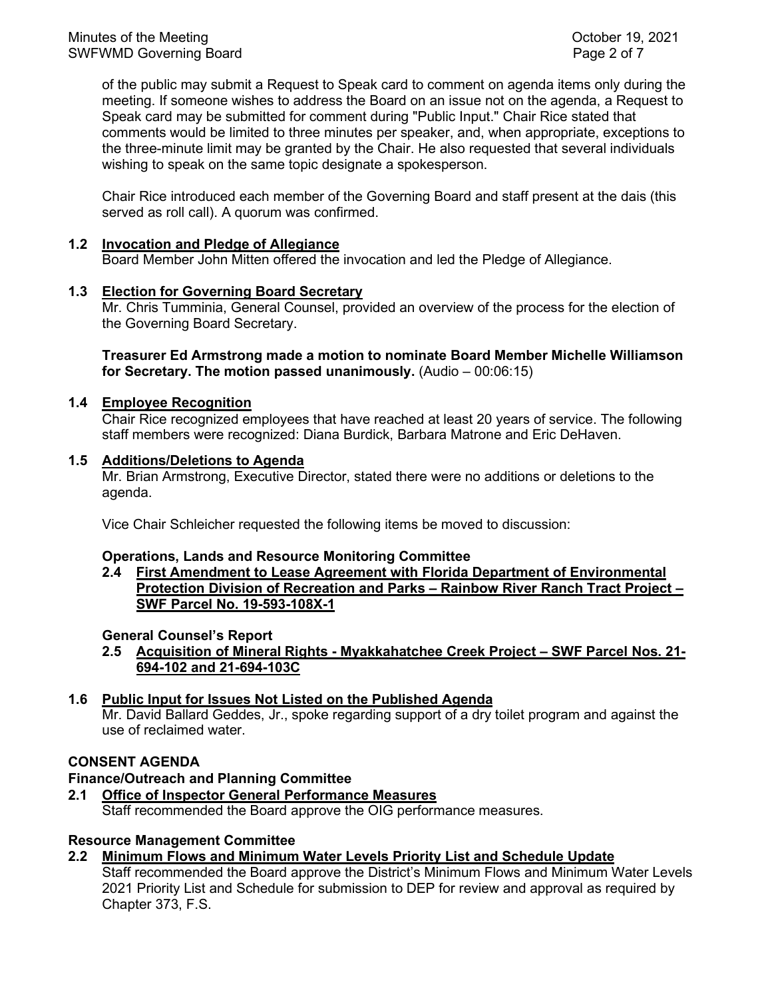of the public may submit a Request to Speak card to comment on agenda items only during the meeting. If someone wishes to address the Board on an issue not on the agenda, a Request to Speak card may be submitted for comment during "Public Input." Chair Rice stated that comments would be limited to three minutes per speaker, and, when appropriate, exceptions to the three-minute limit may be granted by the Chair. He also requested that several individuals wishing to speak on the same topic designate a spokesperson.

Chair Rice introduced each member of the Governing Board and staff present at the dais (this served as roll call). A quorum was confirmed.

### **1.2 Invocation and Pledge of Allegiance**

Board Member John Mitten offered the invocation and led the Pledge of Allegiance.

### **1.3 Election for Governing Board Secretary**

 Mr. Chris Tumminia, General Counsel, provided an overview of the process for the election of the Governing Board Secretary.

**Treasurer Ed Armstrong made a motion to nominate Board Member Michelle Williamson for Secretary. The motion passed unanimously.** (Audio – 00:06:15)

### **1.4 Employee Recognition**

Chair Rice recognized employees that have reached at least 20 years of service. The following staff members were recognized: Diana Burdick, Barbara Matrone and Eric DeHaven.

### **1.5 Additions/Deletions to Agenda**

Mr. Brian Armstrong, Executive Director, stated there were no additions or deletions to the agenda.

Vice Chair Schleicher requested the following items be moved to discussion:

### **Operations, Lands and Resource Monitoring Committee**

**2.4 First Amendment to Lease Agreement with Florida Department of Environmental Protection Division of Recreation and Parks – Rainbow River Ranch Tract Project – SWF Parcel No. 19-593-108X-1**

### **General Counsel's Report**

**2.5 Acquisition of Mineral Rights - Myakkahatchee Creek Project – SWF Parcel Nos. 21- 694-102 and 21-694-103C**

### **1.6 Public Input for Issues Not Listed on the Published Agenda**

Mr. David Ballard Geddes, Jr., spoke regarding support of a dry toilet program and against the use of reclaimed water.

### **CONSENT AGENDA**

# **Finance/Outreach and Planning Committee**

**2.1 Office of Inspector General Performance Measures**

Staff recommended the Board approve the OIG performance measures.

### **Resource Management Committee**

**2.2 Minimum Flows and Minimum Water Levels Priority List and Schedule Update**

Staff recommended the Board approve the District's Minimum Flows and Minimum Water Levels 2021 Priority List and Schedule for submission to DEP for review and approval as required by Chapter 373, F.S.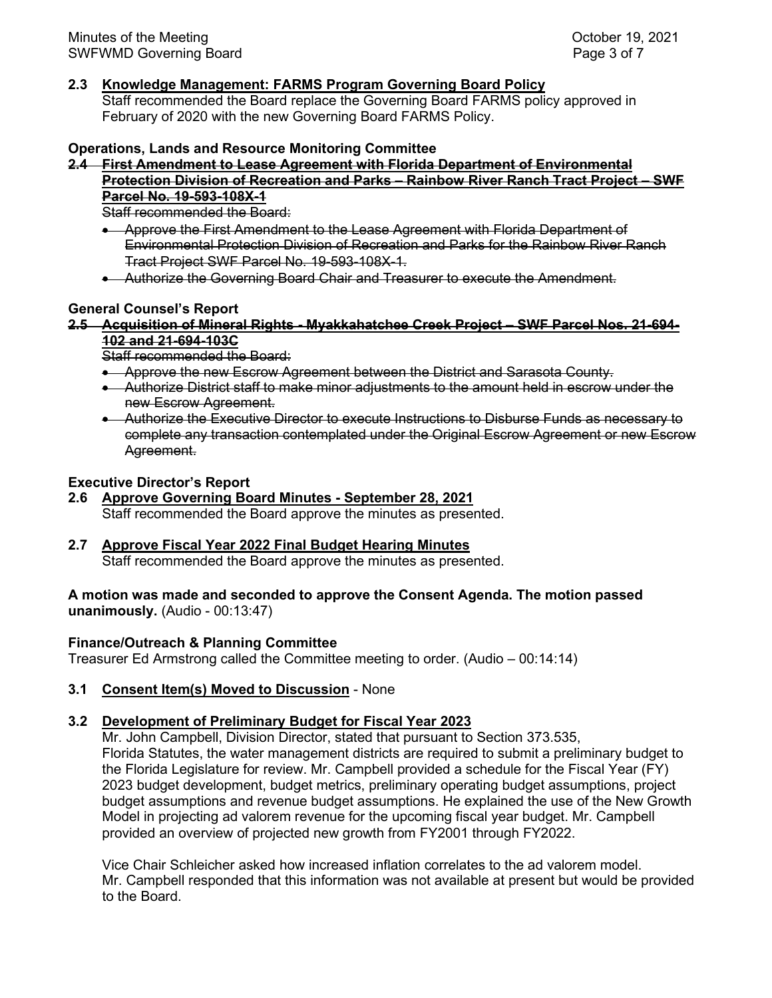### **2.3 Knowledge Management: FARMS Program Governing Board Policy**

Staff recommended the Board replace the Governing Board FARMS policy approved in February of 2020 with the new Governing Board FARMS Policy.

### **Operations, Lands and Resource Monitoring Committee**

### **2.4 First Amendment to Lease Agreement with Florida Department of Environmental Protection Division of Recreation and Parks – Rainbow River Ranch Tract Project – SWF Parcel No. 19-593-108X-1**

Staff recommended the Board:

- Approve the First Amendment to the Lease Agreement with Florida Department of Environmental Protection Division of Recreation and Parks for the Rainbow River Ranch Tract Project SWF Parcel No. 19-593-108X-1.
- Authorize the Governing Board Chair and Treasurer to execute the Amendment.

# **General Counsel's Report**

#### **2.5 Acquisition of Mineral Rights - Myakkahatchee Creek Project – SWF Parcel Nos. 21-694- 102 and 21-694-103C**

Staff recommended the Board:

- Approve the new Escrow Agreement between the District and Sarasota County.
- Authorize District staff to make minor adjustments to the amount held in escrow under the new Escrow Agreement.
- Authorize the Executive Director to execute Instructions to Disburse Funds as necessary to complete any transaction contemplated under the Original Escrow Agreement or new Escrow Agreement.

### **Executive Director's Report**

# **2.6 Approve Governing Board Minutes - September 28, 2021**

Staff recommended the Board approve the minutes as presented.

# **2.7 Approve Fiscal Year 2022 Final Budget Hearing Minutes**

Staff recommended the Board approve the minutes as presented.

### **A motion was made and seconded to approve the Consent Agenda. The motion passed unanimously.** (Audio - 00:13:47)

### **Finance/Outreach & Planning Committee**

Treasurer Ed Armstrong called the Committee meeting to order. (Audio – 00:14:14)

# **3.1 Consent Item(s) Moved to Discussion** - None

# **3.2 Development of Preliminary Budget for Fiscal Year 2023**

 Mr. John Campbell, Division Director, stated that pursuant to Section 373.535, Florida Statutes, the water management districts are required to submit a preliminary budget to the Florida Legislature for review. Mr. Campbell provided a schedule for the Fiscal Year (FY) 2023 budget development, budget metrics, preliminary operating budget assumptions, project budget assumptions and revenue budget assumptions. He explained the use of the New Growth Model in projecting ad valorem revenue for the upcoming fiscal year budget. Mr. Campbell provided an overview of projected new growth from FY2001 through FY2022.

Vice Chair Schleicher asked how increased inflation correlates to the ad valorem model. Mr. Campbell responded that this information was not available at present but would be provided to the Board.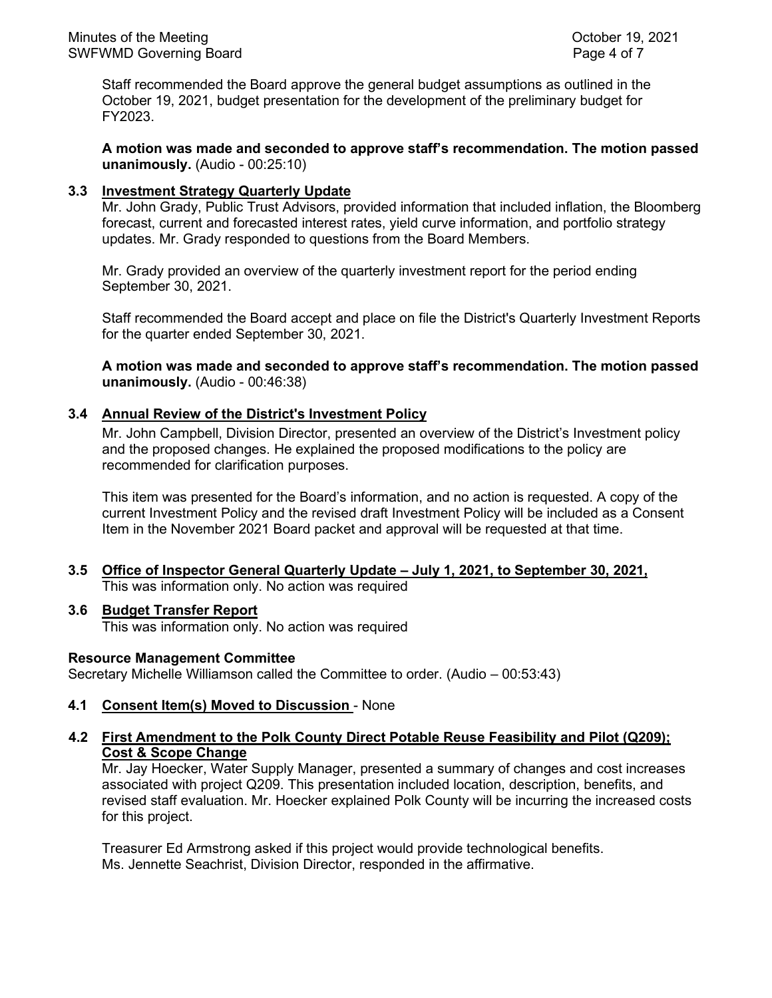Staff recommended the Board approve the general budget assumptions as outlined in the October 19, 2021, budget presentation for the development of the preliminary budget for FY2023.

**A motion was made and seconded to approve staff's recommendation. The motion passed unanimously.** (Audio - 00:25:10)

### **3.3 Investment Strategy Quarterly Update**

Mr. John Grady, Public Trust Advisors, provided information that included inflation, the Bloomberg forecast, current and forecasted interest rates, yield curve information, and portfolio strategy updates. Mr. Grady responded to questions from the Board Members.

Mr. Grady provided an overview of the quarterly investment report for the period ending September 30, 2021.

Staff recommended the Board accept and place on file the District's Quarterly Investment Reports for the quarter ended September 30, 2021.

**A motion was made and seconded to approve staff's recommendation. The motion passed unanimously.** (Audio - 00:46:38)

### **3.4 Annual Review of the District's Investment Policy**

Mr. John Campbell, Division Director, presented an overview of the District's Investment policy and the proposed changes. He explained the proposed modifications to the policy are recommended for clarification purposes.

This item was presented for the Board's information, and no action is requested. A copy of the current Investment Policy and the revised draft Investment Policy will be included as a Consent Item in the November 2021 Board packet and approval will be requested at that time.

**3.5 Office of Inspector General Quarterly Update – July 1, 2021, to September 30, 2021,** This was information only. No action was required

### **3.6 Budget Transfer Report**

This was information only. No action was required

### **Resource Management Committee**

Secretary Michelle Williamson called the Committee to order. (Audio – 00:53:43)

### **4.1 Consent Item(s) Moved to Discussion** - None

### **4.2 First Amendment to the Polk County Direct Potable Reuse Feasibility and Pilot (Q209); Cost & Scope Change**

Mr. Jay Hoecker, Water Supply Manager, presented a summary of changes and cost increases associated with project Q209. This presentation included location, description, benefits, and revised staff evaluation. Mr. Hoecker explained Polk County will be incurring the increased costs for this project.

Treasurer Ed Armstrong asked if this project would provide technological benefits. Ms. Jennette Seachrist, Division Director, responded in the affirmative.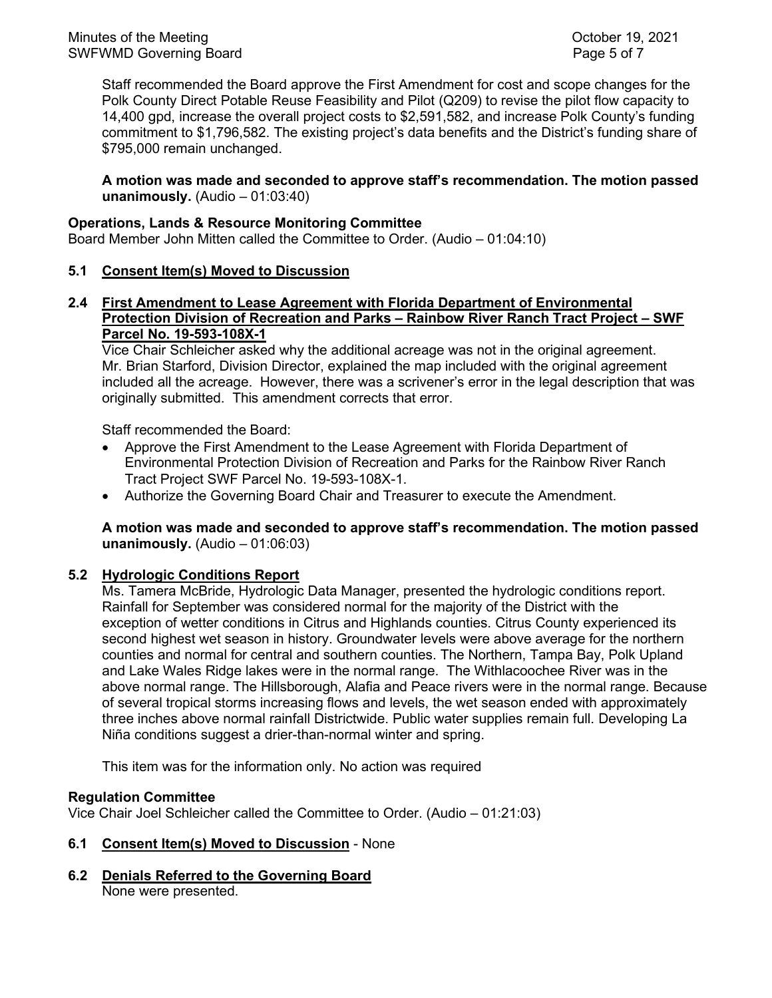Staff recommended the Board approve the First Amendment for cost and scope changes for the Polk County Direct Potable Reuse Feasibility and Pilot (Q209) to revise the pilot flow capacity to 14,400 gpd, increase the overall project costs to \$2,591,582, and increase Polk County's funding commitment to \$1,796,582. The existing project's data benefits and the District's funding share of \$795,000 remain unchanged.

**A motion was made and seconded to approve staff's recommendation. The motion passed unanimously.** (Audio – 01:03:40)

### **Operations, Lands & Resource Monitoring Committee**

Board Member John Mitten called the Committee to Order. (Audio – 01:04:10)

### **5.1 Consent Item(s) Moved to Discussion**

# **2.4 First Amendment to Lease Agreement with Florida Department of Environmental Protection Division of Recreation and Parks – Rainbow River Ranch Tract Project – SWF Parcel No. 19-593-108X-1**

Vice Chair Schleicher asked why the additional acreage was not in the original agreement. Mr. Brian Starford, Division Director, explained the map included with the original agreement included all the acreage. However, there was a scrivener's error in the legal description that was originally submitted. This amendment corrects that error.

Staff recommended the Board:

- Approve the First Amendment to the Lease Agreement with Florida Department of Environmental Protection Division of Recreation and Parks for the Rainbow River Ranch Tract Project SWF Parcel No. 19-593-108X-1.
- Authorize the Governing Board Chair and Treasurer to execute the Amendment.

# **A motion was made and seconded to approve staff's recommendation. The motion passed unanimously.** (Audio – 01:06:03)

# **5.2 Hydrologic Conditions Report**

Ms. Tamera McBride, Hydrologic Data Manager, presented the hydrologic conditions report. Rainfall for September was considered normal for the majority of the District with the exception of wetter conditions in Citrus and Highlands counties. Citrus County experienced its second highest wet season in history. Groundwater levels were above average for the northern counties and normal for central and southern counties. The Northern, Tampa Bay, Polk Upland and Lake Wales Ridge lakes were in the normal range. The Withlacoochee River was in the above normal range. The Hillsborough, Alafia and Peace rivers were in the normal range. Because of several tropical storms increasing flows and levels, the wet season ended with approximately three inches above normal rainfall Districtwide. Public water supplies remain full. Developing La Niña conditions suggest a drier-than-normal winter and spring.

This item was for the information only. No action was required

# **Regulation Committee**

Vice Chair Joel Schleicher called the Committee to Order. (Audio – 01:21:03)

### **6.1 Consent Item(s) Moved to Discussion** - None

**6.2 Denials Referred to the Governing Board** None were presented.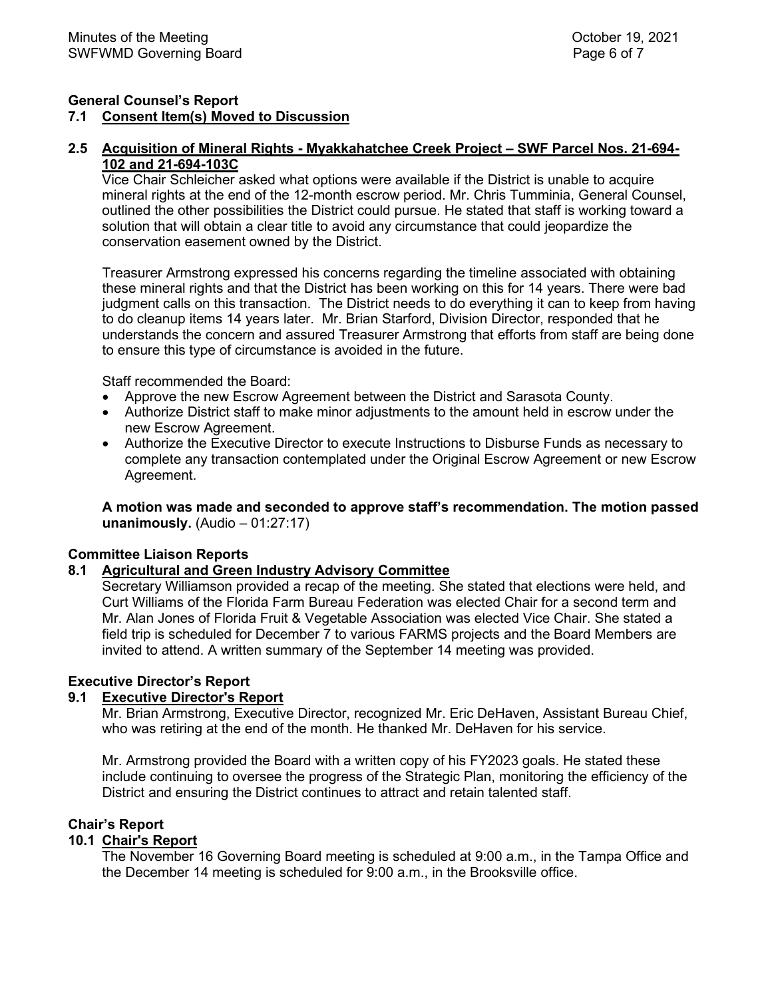### **General Counsel's Report 7.1 Consent Item(s) Moved to Discussion**

### **2.5 Acquisition of Mineral Rights - Myakkahatchee Creek Project – SWF Parcel Nos. 21-694- 102 and 21-694-103C**

Vice Chair Schleicher asked what options were available if the District is unable to acquire mineral rights at the end of the 12-month escrow period. Mr. Chris Tumminia, General Counsel, outlined the other possibilities the District could pursue. He stated that staff is working toward a solution that will obtain a clear title to avoid any circumstance that could jeopardize the conservation easement owned by the District.

Treasurer Armstrong expressed his concerns regarding the timeline associated with obtaining these mineral rights and that the District has been working on this for 14 years. There were bad judgment calls on this transaction. The District needs to do everything it can to keep from having to do cleanup items 14 years later. Mr. Brian Starford, Division Director, responded that he understands the concern and assured Treasurer Armstrong that efforts from staff are being done to ensure this type of circumstance is avoided in the future.

Staff recommended the Board:

- Approve the new Escrow Agreement between the District and Sarasota County.
- Authorize District staff to make minor adjustments to the amount held in escrow under the new Escrow Agreement.
- Authorize the Executive Director to execute Instructions to Disburse Funds as necessary to complete any transaction contemplated under the Original Escrow Agreement or new Escrow Agreement.

**A motion was made and seconded to approve staff's recommendation. The motion passed unanimously.** (Audio – 01:27:17)

# **Committee Liaison Reports**

### **8.1 Agricultural and Green Industry Advisory Committee**

Secretary Williamson provided a recap of the meeting. She stated that elections were held, and Curt Williams of the Florida Farm Bureau Federation was elected Chair for a second term and Mr. Alan Jones of Florida Fruit & Vegetable Association was elected Vice Chair. She stated a field trip is scheduled for December 7 to various FARMS projects and the Board Members are invited to attend. A written summary of the September 14 meeting was provided.

# **Executive Director's Report**

### **9.1 Executive Director's Report**

Mr. Brian Armstrong, Executive Director, recognized Mr. Eric DeHaven, Assistant Bureau Chief, who was retiring at the end of the month. He thanked Mr. DeHaven for his service.

Mr. Armstrong provided the Board with a written copy of his FY2023 goals. He stated these include continuing to oversee the progress of the Strategic Plan, monitoring the efficiency of the District and ensuring the District continues to attract and retain talented staff.

### **Chair's Report**

### **10.1 Chair's Report**

The November 16 Governing Board meeting is scheduled at 9:00 a.m., in the Tampa Office and the December 14 meeting is scheduled for 9:00 a.m., in the Brooksville office.